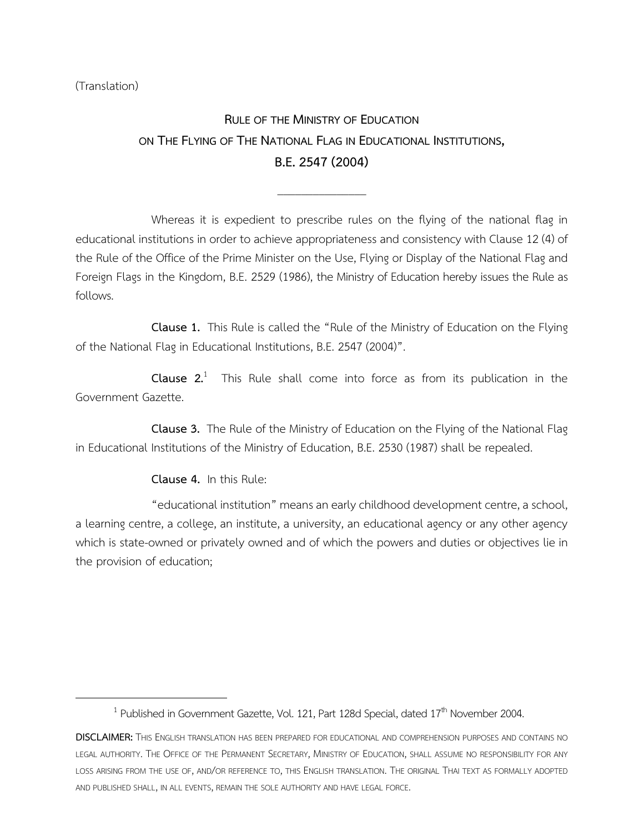(Translation)

 $\overline{\phantom{a}}$ 

## **RULE OF THE MINISTRY OF EDUCATION ON THE FLYING OF THE NATIONAL FLAG IN EDUCATIONAL INSTITUTIONS, B.E.2547(2004)**

\_\_\_\_\_\_\_\_\_\_\_\_\_\_\_

Whereas it is expedient to prescribe rules on the flying of the national flag in educational institutions in order to achieve appropriateness and consistency with Clause 12 (4) of the Rule of the Office of the Prime Minister on the Use, Flying or Display of the National Flag and Foreign Flags in the Kingdom, B.E. 2529 (1986), the Ministry of Education hereby issues the Rule as follows.

**Clause 1.** This Rule is called the "Rule of the Ministry of Education on the Flying of the National Flag in Educational Institutions, B.E. 2547 (2004)".

**Clause 2.**<sup>1</sup> This Rule shall come into force as from its publication in the Government Gazette.

**Clause 3.** The Rule of the Ministry of Education on the Flying of the National Flag in Educational Institutions of the Ministry of Education, B.E. 2530 (1987) shall be repealed.

**Clause 4.** In this Rule:

"educational institution" means an early childhood development centre, a school, a learning centre, a college, an institute, a university, an educational agency or any other agency which is state-owned or privately owned and of which the powers and duties or objectives lie in the provision of education;

<sup>&</sup>lt;sup>1</sup> Published in Government Gazette, Vol. 121, Part 128d Special, dated 17<sup>th</sup> November 2004.

**DISCLAIMER:** THIS ENGLISH TRANSLATION HAS BEEN PREPARED FOR EDUCATIONAL AND COMPREHENSION PURPOSES AND CONTAINS NO LEGAL AUTHORITY. THE OFFICE OF THE PERMANENT SECRETARY, MINISTRY OF EDUCATION, SHALL ASSUME NO RESPONSIBILITY FOR ANY LOSS ARISING FROM THE USE OF, AND/OR REFERENCE TO, THIS ENGLISH TRANSLATION. THE ORIGINAL THAI TEXT AS FORMALLY ADOPTED AND PUBLISHED SHALL, IN ALL EVENTS, REMAIN THE SOLE AUTHORITY AND HAVE LEGAL FORCE.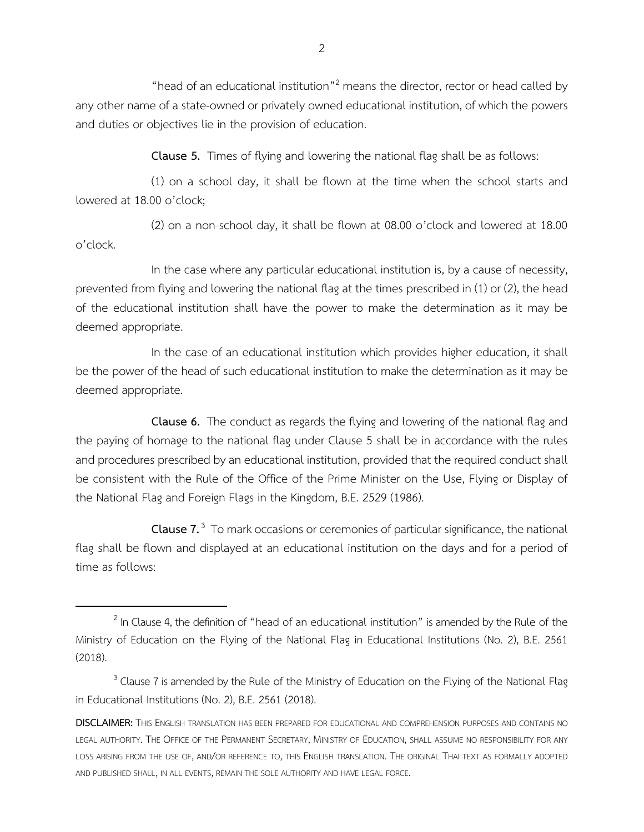"head of an educational institution"<sup>2</sup> means the director, rector or head called by any other name of a state-owned or privately owned educational institution, of which the powers and duties or objectives lie in the provision of education.

**Clause 5.** Times of flying and lowering the national flag shall be as follows:

(1) on a school day, it shall be flown at the time when the school starts and lowered at 18.00 o'clock;

(2) on a non-school day, it shall be flown at 08.00 o'clock and lowered at 18.00 o'clock.

In the case where any particular educational institution is, by a cause of necessity, prevented from flying and lowering the national flag at the times prescribed in (1) or (2), the head of the educational institution shall have the power to make the determination as it may be deemed appropriate.

In the case of an educational institution which provides higher education, it shall be the power of the head of such educational institution to make the determination as it may be deemed appropriate.

**Clause 6.** The conduct as regards the flying and lowering of the national flag and the paying of homage to the national flag under Clause 5 shall be in accordance with the rules and procedures prescribed by an educational institution, provided that the required conduct shall be consistent with the Rule of the Office of the Prime Minister on the Use, Flying or Display of the National Flag and Foreign Flags in the Kingdom, B.E. 2529 (1986).

**Clause 7.** 3 To mark occasions or ceremonies of particular significance, the national flag shall be flown and displayed at an educational institution on the days and for a period of time as follows:

 $\overline{\phantom{a}}$ 

 $^2$  In Clause 4, the definition of "head of an educational institution" is amended by the Rule of the Ministry of Education on the Flying of the National Flag in Educational Institutions (No. 2), B.E. 2561 (2018).

 $3$  Clause 7 is amended by the Rule of the Ministry of Education on the Flying of the National Flag in Educational Institutions (No. 2), B.E. 2561 (2018).

**DISCLAIMER:** THIS ENGLISH TRANSLATION HAS BEEN PREPARED FOR EDUCATIONAL AND COMPREHENSION PURPOSES AND CONTAINS NO LEGAL AUTHORITY. THE OFFICE OF THE PERMANENT SECRETARY, MINISTRY OF EDUCATION, SHALL ASSUME NO RESPONSIBILITY FOR ANY LOSS ARISING FROM THE USE OF, AND/OR REFERENCE TO, THIS ENGLISH TRANSLATION. THE ORIGINAL THAI TEXT AS FORMALLY ADOPTED AND PUBLISHED SHALL, IN ALL EVENTS, REMAIN THE SOLE AUTHORITY AND HAVE LEGAL FORCE.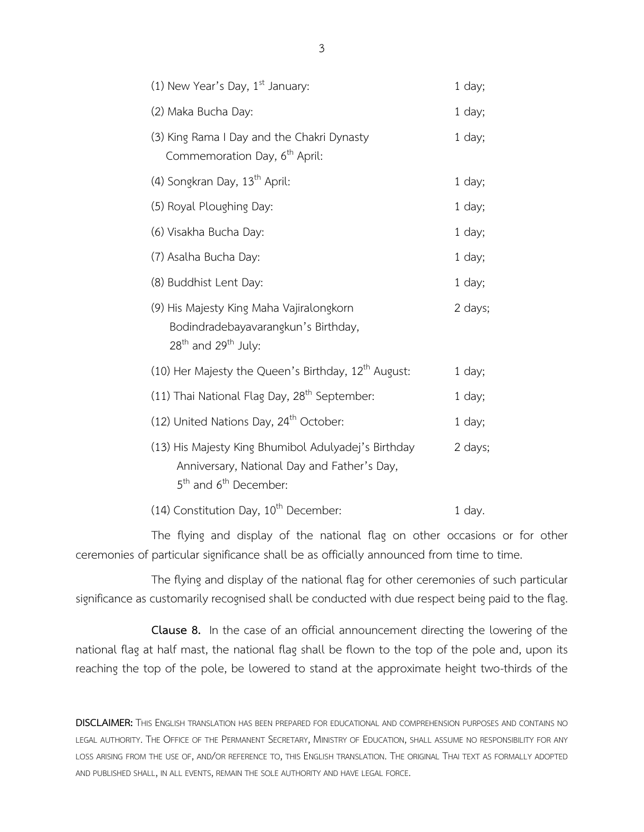| (1) New Year's Day, $1st$ January:                                                                                                                  | 1 day;   |
|-----------------------------------------------------------------------------------------------------------------------------------------------------|----------|
| (2) Maka Bucha Day:                                                                                                                                 | 1 day;   |
| (3) King Rama I Day and the Chakri Dynasty<br>Commemoration Day, 6 <sup>th</sup> April:                                                             | 1 day;   |
| (4) Songkran Day, 13 <sup>th</sup> April:                                                                                                           | 1 day;   |
| (5) Royal Ploughing Day:                                                                                                                            | 1 day;   |
| (6) Visakha Bucha Day:                                                                                                                              | 1 day;   |
| (7) Asalha Bucha Day:                                                                                                                               | $1$ day; |
| (8) Buddhist Lent Day:                                                                                                                              | $1$ day; |
| (9) His Majesty King Maha Vajiralongkorn<br>Bodindradebayavarangkun's Birthday,<br>$28th$ and $29th$ July:                                          | 2 days;  |
| (10) Her Majesty the Queen's Birthday, $12th$ August:                                                                                               | 1 day;   |
| (11) Thai National Flag Day, 28 <sup>th</sup> September:                                                                                            | 1 day;   |
| (12) United Nations Day, 24 <sup>th</sup> October:                                                                                                  | $1$ day; |
| (13) His Majesty King Bhumibol Adulyadej's Birthday<br>Anniversary, National Day and Father's Day,<br>5 <sup>th</sup> and 6 <sup>th</sup> December: | 2 days;  |
| (14) Constitution Day, 10 <sup>th</sup> December:                                                                                                   | 1 day.   |

The flying and display of the national flag on other occasions or for other ceremonies of particular significance shall be as officially announced from time to time.

The flying and display of the national flag for other ceremonies of such particular significance as customarily recognised shall be conducted with due respect being paid to the flag.

**Clause 8.** In the case of an official announcement directing the lowering of the national flag at half mast, the national flag shall be flown to the top of the pole and, upon its reaching the top of the pole, be lowered to stand at the approximate height two-thirds of the

**DISCLAIMER:** THIS ENGLISH TRANSLATION HAS BEEN PREPARED FOR EDUCATIONAL AND COMPREHENSION PURPOSES AND CONTAINS NO LEGAL AUTHORITY. THE OFFICE OF THE PERMANENT SECRETARY, MINISTRY OF EDUCATION, SHALL ASSUME NO RESPONSIBILITY FOR ANY LOSS ARISING FROM THE USE OF, AND/OR REFERENCE TO, THIS ENGLISH TRANSLATION. THE ORIGINAL THAI TEXT AS FORMALLY ADOPTED AND PUBLISHED SHALL, IN ALL EVENTS, REMAIN THE SOLE AUTHORITY AND HAVE LEGAL FORCE.